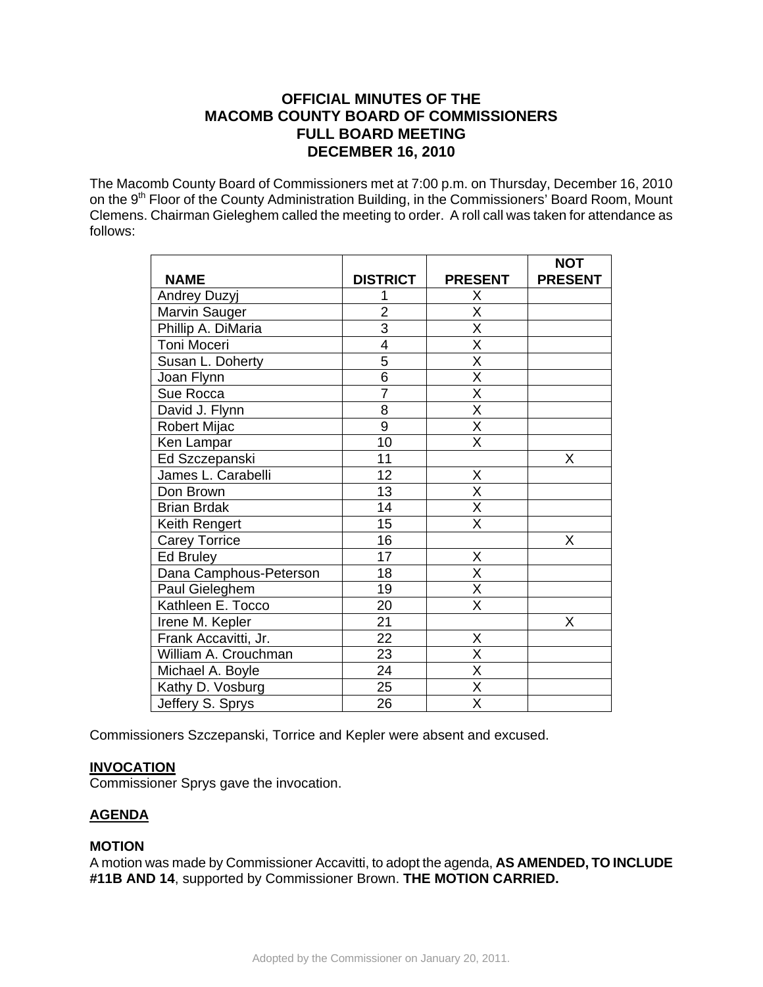# **OFFICIAL MINUTES OF THE MACOMB COUNTY BOARD OF COMMISSIONERS FULL BOARD MEETING DECEMBER 16, 2010**

The Macomb County Board of Commissioners met at 7:00 p.m. on Thursday, December 16, 2010 on the 9<sup>th</sup> Floor of the County Administration Building, in the Commissioners' Board Room, Mount Clemens. Chairman Gieleghem called the meeting to order. A roll call was taken for attendance as follows:

|                        |                 |                         | <b>NOT</b>     |
|------------------------|-----------------|-------------------------|----------------|
| <b>NAME</b>            | <b>DISTRICT</b> | <b>PRESENT</b>          | <b>PRESENT</b> |
| Andrey Duzyj           |                 | X                       |                |
| Marvin Sauger          | $\overline{2}$  | $\overline{\mathsf{x}}$ |                |
| Phillip A. DiMaria     | $\overline{3}$  | X                       |                |
| Toni Moceri            | 4               | X                       |                |
| Susan L. Doherty       | $\overline{5}$  | $\overline{\mathsf{x}}$ |                |
| Joan Flynn             | $\overline{6}$  | $\overline{\mathsf{x}}$ |                |
| Sue Rocca              | $\overline{7}$  | X                       |                |
| David J. Flynn         | 8               | $\overline{\mathsf{x}}$ |                |
| Robert Mijac           | $\overline{9}$  | $\overline{\mathsf{x}}$ |                |
| Ken Lampar             | 10              | $\overline{\mathsf{x}}$ |                |
| Ed Szczepanski         | 11              |                         | X              |
| James L. Carabelli     | 12              | Χ                       |                |
| Don Brown              | 13              | $\overline{\mathsf{x}}$ |                |
| <b>Brian Brdak</b>     | 14              | $\overline{\mathsf{x}}$ |                |
| Keith Rengert          | 15              | Χ                       |                |
| <b>Carey Torrice</b>   | 16              |                         | X              |
| Ed Bruley              | 17              | X                       |                |
| Dana Camphous-Peterson | 18              | $\overline{\mathsf{x}}$ |                |
| Paul Gieleghem         | 19              | X                       |                |
| Kathleen E. Tocco      | 20              | $\overline{\mathsf{x}}$ |                |
| Irene M. Kepler        | 21              |                         | X              |
| Frank Accavitti, Jr.   | 22              | Χ                       |                |
| William A. Crouchman   | 23              | $\overline{\mathsf{X}}$ |                |
| Michael A. Boyle       | 24              | $\overline{\mathsf{x}}$ |                |
| Kathy D. Vosburg       | 25              | $\overline{\sf x}$      |                |
| Jeffery S. Sprys       | 26              | $\overline{\mathsf{x}}$ |                |

Commissioners Szczepanski, Torrice and Kepler were absent and excused.

# **INVOCATION**

Commissioner Sprys gave the invocation.

# **AGENDA**

# **MOTION**

A motion was made by Commissioner Accavitti, to adopt the agenda, **AS AMENDED, TO INCLUDE #11B AND 14**, supported by Commissioner Brown. **THE MOTION CARRIED.**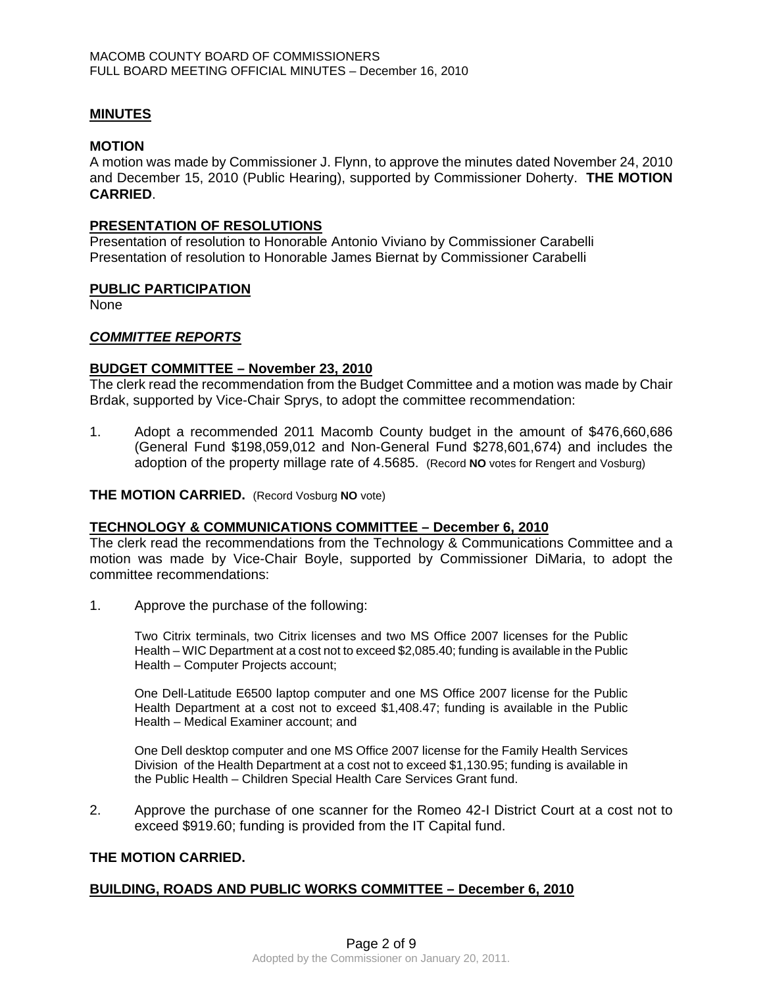# **MINUTES**

#### **MOTION**

A motion was made by Commissioner J. Flynn, to approve the minutes dated November 24, 2010 and December 15, 2010 (Public Hearing), supported by Commissioner Doherty. **THE MOTION CARRIED**.

## **PRESENTATION OF RESOLUTIONS**

Presentation of resolution to Honorable Antonio Viviano by Commissioner Carabelli Presentation of resolution to Honorable James Biernat by Commissioner Carabelli

#### **PUBLIC PARTICIPATION**

None

# *COMMITTEE REPORTS*

#### **BUDGET COMMITTEE – November 23, 2010**

The clerk read the recommendation from the Budget Committee and a motion was made by Chair Brdak, supported by Vice-Chair Sprys, to adopt the committee recommendation:

1. Adopt a recommended 2011 Macomb County budget in the amount of \$476,660,686 (General Fund \$198,059,012 and Non-General Fund \$278,601,674) and includes the adoption of the property millage rate of 4.5685. (Record **NO** votes for Rengert and Vosburg)

#### **THE MOTION CARRIED.** (Record Vosburg **NO** vote)

# **TECHNOLOGY & COMMUNICATIONS COMMITTEE – December 6, 2010**

The clerk read the recommendations from the Technology & Communications Committee and a motion was made by Vice-Chair Boyle, supported by Commissioner DiMaria, to adopt the committee recommendations:

1. Approve the purchase of the following:

Two Citrix terminals, two Citrix licenses and two MS Office 2007 licenses for the Public Health – WIC Department at a cost not to exceed \$2,085.40; funding is available in the Public Health – Computer Projects account;

One Dell-Latitude E6500 laptop computer and one MS Office 2007 license for the Public Health Department at a cost not to exceed \$1,408.47; funding is available in the Public Health – Medical Examiner account; and

One Dell desktop computer and one MS Office 2007 license for the Family Health Services Division of the Health Department at a cost not to exceed \$1,130.95; funding is available in the Public Health – Children Special Health Care Services Grant fund.

2. Approve the purchase of one scanner for the Romeo 42-I District Court at a cost not to exceed \$919.60; funding is provided from the IT Capital fund.

# **THE MOTION CARRIED.**

# **BUILDING, ROADS AND PUBLIC WORKS COMMITTEE – December 6, 2010**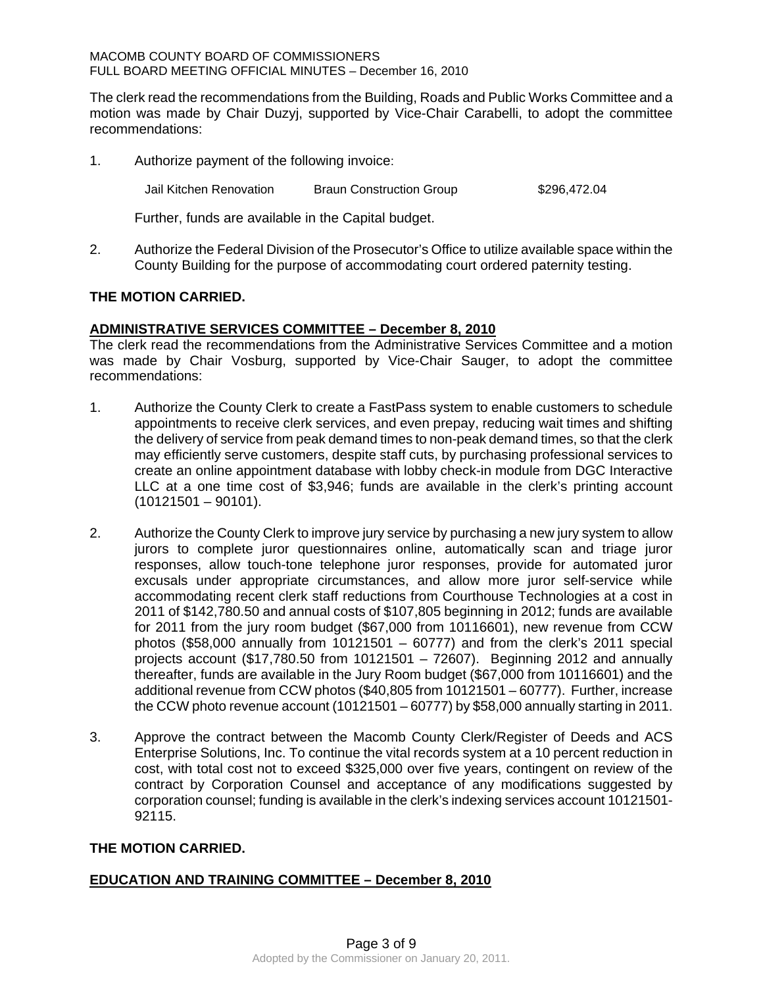The clerk read the recommendations from the Building, Roads and Public Works Committee and a motion was made by Chair Duzyj, supported by Vice-Chair Carabelli, to adopt the committee recommendations:

1. Authorize payment of the following invoice:

Jail Kitchen Renovation Braun Construction Group \$296,472.04

Further, funds are available in the Capital budget.

2. Authorize the Federal Division of the Prosecutor's Office to utilize available space within the County Building for the purpose of accommodating court ordered paternity testing.

# **THE MOTION CARRIED.**

# **ADMINISTRATIVE SERVICES COMMITTEE – December 8, 2010**

The clerk read the recommendations from the Administrative Services Committee and a motion was made by Chair Vosburg, supported by Vice-Chair Sauger, to adopt the committee recommendations:

- 1. Authorize the County Clerk to create a FastPass system to enable customers to schedule appointments to receive clerk services, and even prepay, reducing wait times and shifting the delivery of service from peak demand times to non-peak demand times, so that the clerk may efficiently serve customers, despite staff cuts, by purchasing professional services to create an online appointment database with lobby check-in module from DGC Interactive LLC at a one time cost of \$3,946; funds are available in the clerk's printing account  $(10121501 - 90101)$ .
- 2. Authorize the County Clerk to improve jury service by purchasing a new jury system to allow jurors to complete juror questionnaires online, automatically scan and triage juror responses, allow touch-tone telephone juror responses, provide for automated juror excusals under appropriate circumstances, and allow more juror self-service while accommodating recent clerk staff reductions from Courthouse Technologies at a cost in 2011 of \$142,780.50 and annual costs of \$107,805 beginning in 2012; funds are available for 2011 from the jury room budget (\$67,000 from 10116601), new revenue from CCW photos (\$58,000 annually from 10121501 – 60777) and from the clerk's 2011 special projects account (\$17,780.50 from 10121501 – 72607). Beginning 2012 and annually thereafter, funds are available in the Jury Room budget (\$67,000 from 10116601) and the additional revenue from CCW photos (\$40,805 from 10121501 – 60777). Further, increase the CCW photo revenue account (10121501 – 60777) by \$58,000 annually starting in 2011.
- 3. Approve the contract between the Macomb County Clerk/Register of Deeds and ACS Enterprise Solutions, Inc. To continue the vital records system at a 10 percent reduction in cost, with total cost not to exceed \$325,000 over five years, contingent on review of the contract by Corporation Counsel and acceptance of any modifications suggested by corporation counsel; funding is available in the clerk's indexing services account 10121501- 92115.

# **THE MOTION CARRIED.**

# **EDUCATION AND TRAINING COMMITTEE – December 8, 2010**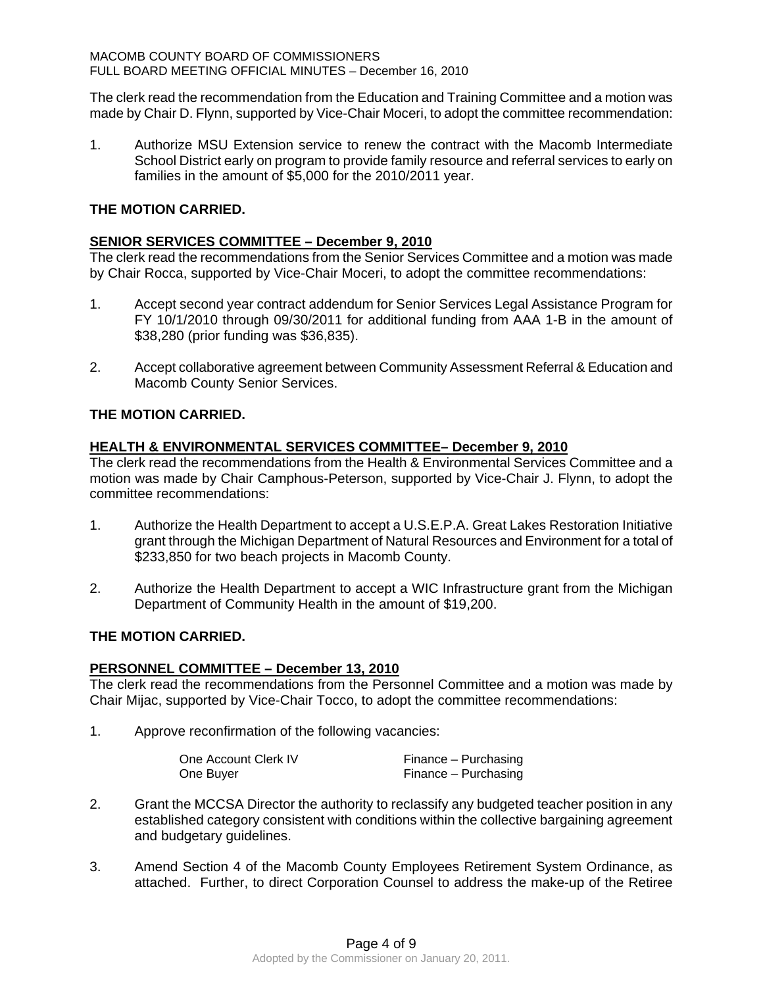The clerk read the recommendation from the Education and Training Committee and a motion was made by Chair D. Flynn, supported by Vice-Chair Moceri, to adopt the committee recommendation:

1. Authorize MSU Extension service to renew the contract with the Macomb Intermediate School District early on program to provide family resource and referral services to early on families in the amount of \$5,000 for the 2010/2011 year.

# **THE MOTION CARRIED.**

# **SENIOR SERVICES COMMITTEE – December 9, 2010**

The clerk read the recommendations from the Senior Services Committee and a motion was made by Chair Rocca, supported by Vice-Chair Moceri, to adopt the committee recommendations:

- 1. Accept second year contract addendum for Senior Services Legal Assistance Program for FY 10/1/2010 through 09/30/2011 for additional funding from AAA 1-B in the amount of \$38,280 (prior funding was \$36,835).
- 2. Accept collaborative agreement between Community Assessment Referral & Education and Macomb County Senior Services.

# **THE MOTION CARRIED.**

# **HEALTH & ENVIRONMENTAL SERVICES COMMITTEE– December 9, 2010**

The clerk read the recommendations from the Health & Environmental Services Committee and a motion was made by Chair Camphous-Peterson, supported by Vice-Chair J. Flynn, to adopt the committee recommendations:

- 1. Authorize the Health Department to accept a U.S.E.P.A. Great Lakes Restoration Initiative grant through the Michigan Department of Natural Resources and Environment for a total of \$233,850 for two beach projects in Macomb County.
- 2. Authorize the Health Department to accept a WIC Infrastructure grant from the Michigan Department of Community Health in the amount of \$19,200.

# **THE MOTION CARRIED.**

# **PERSONNEL COMMITTEE – December 13, 2010**

The clerk read the recommendations from the Personnel Committee and a motion was made by Chair Mijac, supported by Vice-Chair Tocco, to adopt the committee recommendations:

1. Approve reconfirmation of the following vacancies:

| One Account Clerk IV | Finance – Purchasing |
|----------------------|----------------------|
| One Buyer            | Finance – Purchasing |

- 2. Grant the MCCSA Director the authority to reclassify any budgeted teacher position in any established category consistent with conditions within the collective bargaining agreement and budgetary guidelines.
- 3. Amend Section 4 of the Macomb County Employees Retirement System Ordinance, as attached. Further, to direct Corporation Counsel to address the make-up of the Retiree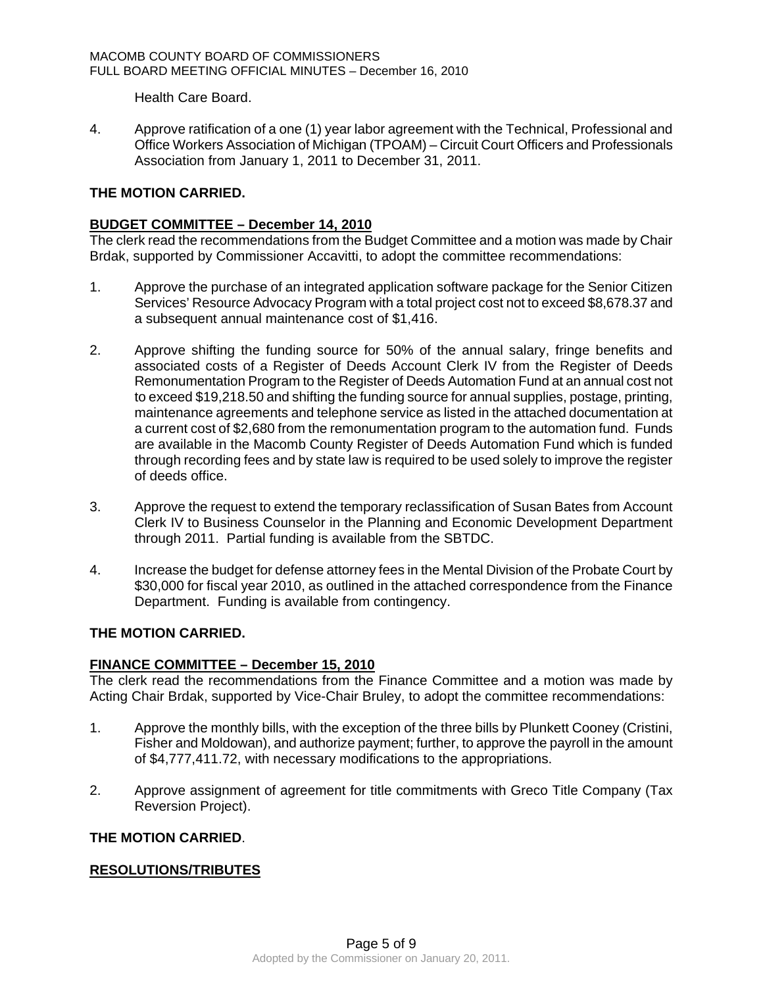Health Care Board.

4. Approve ratification of a one (1) year labor agreement with the Technical, Professional and Office Workers Association of Michigan (TPOAM) – Circuit Court Officers and Professionals Association from January 1, 2011 to December 31, 2011.

# **THE MOTION CARRIED.**

# **BUDGET COMMITTEE – December 14, 2010**

The clerk read the recommendations from the Budget Committee and a motion was made by Chair Brdak, supported by Commissioner Accavitti, to adopt the committee recommendations:

- 1. Approve the purchase of an integrated application software package for the Senior Citizen Services' Resource Advocacy Program with a total project cost not to exceed \$8,678.37 and a subsequent annual maintenance cost of \$1,416.
- 2. Approve shifting the funding source for 50% of the annual salary, fringe benefits and associated costs of a Register of Deeds Account Clerk IV from the Register of Deeds Remonumentation Program to the Register of Deeds Automation Fund at an annual cost not to exceed \$19,218.50 and shifting the funding source for annual supplies, postage, printing, maintenance agreements and telephone service as listed in the attached documentation at a current cost of \$2,680 from the remonumentation program to the automation fund. Funds are available in the Macomb County Register of Deeds Automation Fund which is funded through recording fees and by state law is required to be used solely to improve the register of deeds office.
- 3. Approve the request to extend the temporary reclassification of Susan Bates from Account Clerk IV to Business Counselor in the Planning and Economic Development Department through 2011. Partial funding is available from the SBTDC.
- 4. Increase the budget for defense attorney fees in the Mental Division of the Probate Court by \$30,000 for fiscal year 2010, as outlined in the attached correspondence from the Finance Department. Funding is available from contingency.

# **THE MOTION CARRIED.**

# **FINANCE COMMITTEE – December 15, 2010**

The clerk read the recommendations from the Finance Committee and a motion was made by Acting Chair Brdak, supported by Vice-Chair Bruley, to adopt the committee recommendations:

- 1. Approve the monthly bills, with the exception of the three bills by Plunkett Cooney (Cristini, Fisher and Moldowan), and authorize payment; further, to approve the payroll in the amount of \$4,777,411.72, with necessary modifications to the appropriations.
- 2. Approve assignment of agreement for title commitments with Greco Title Company (Tax Reversion Project).

# **THE MOTION CARRIED**.

# **RESOLUTIONS/TRIBUTES**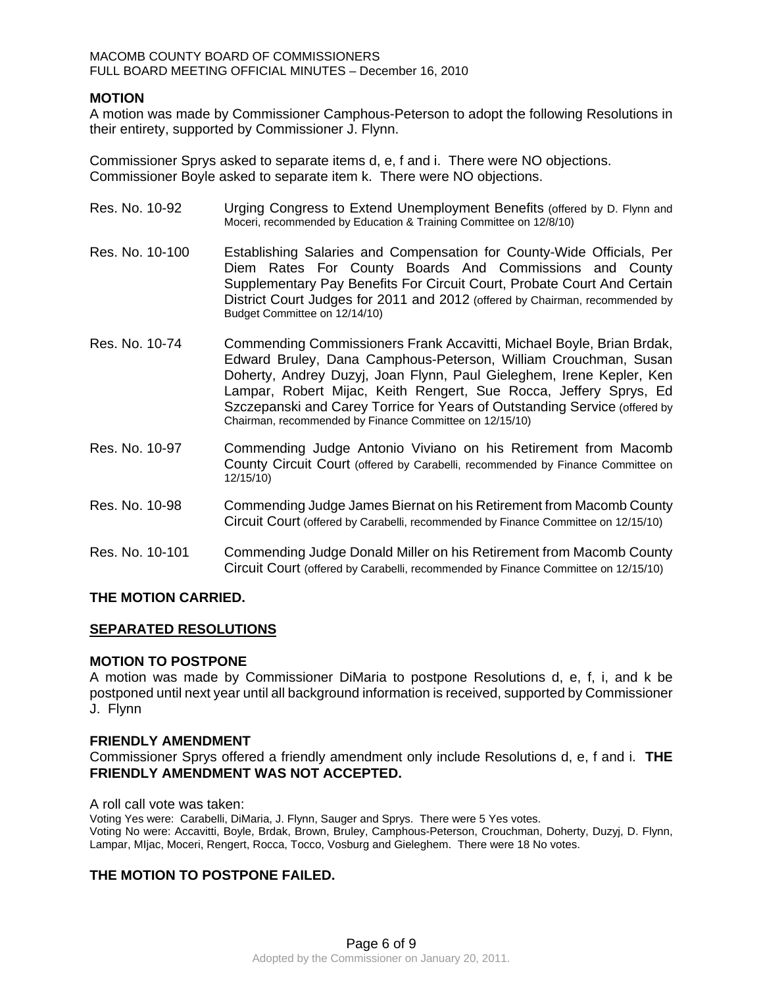# **MOTION**

A motion was made by Commissioner Camphous-Peterson to adopt the following Resolutions in their entirety, supported by Commissioner J. Flynn.

Commissioner Sprys asked to separate items d, e, f and i. There were NO objections. Commissioner Boyle asked to separate item k. There were NO objections.

| Res. No. 10-92  | Urging Congress to Extend Unemployment Benefits (offered by D. Flynn and<br>Moceri, recommended by Education & Training Committee on 12/8/10)                                                                                                                                                                                                                                                                                  |
|-----------------|--------------------------------------------------------------------------------------------------------------------------------------------------------------------------------------------------------------------------------------------------------------------------------------------------------------------------------------------------------------------------------------------------------------------------------|
| Res. No. 10-100 | Establishing Salaries and Compensation for County-Wide Officials, Per<br>Diem Rates For County Boards And Commissions and County<br>Supplementary Pay Benefits For Circuit Court, Probate Court And Certain<br>District Court Judges for 2011 and 2012 (offered by Chairman, recommended by<br>Budget Committee on 12/14/10)                                                                                                   |
| Res. No. 10-74  | Commending Commissioners Frank Accavitti, Michael Boyle, Brian Brdak,<br>Edward Bruley, Dana Camphous-Peterson, William Crouchman, Susan<br>Doherty, Andrey Duzyj, Joan Flynn, Paul Gieleghem, Irene Kepler, Ken<br>Lampar, Robert Mijac, Keith Rengert, Sue Rocca, Jeffery Sprys, Ed<br>Szczepanski and Carey Torrice for Years of Outstanding Service (offered by<br>Chairman, recommended by Finance Committee on 12/15/10) |
| Res. No. 10-97  | Commending Judge Antonio Viviano on his Retirement from Macomb<br>County Circuit Court (offered by Carabelli, recommended by Finance Committee on<br>12/15/10                                                                                                                                                                                                                                                                  |
| Res. No. 10-98  | Commending Judge James Biernat on his Retirement from Macomb County<br>Circuit Court (offered by Carabelli, recommended by Finance Committee on 12/15/10)                                                                                                                                                                                                                                                                      |
| Res. No. 10-101 | Commending Judge Donald Miller on his Retirement from Macomb County<br>Circuit Court (offered by Carabelli, recommended by Finance Committee on 12/15/10)                                                                                                                                                                                                                                                                      |

# **THE MOTION CARRIED.**

# **SEPARATED RESOLUTIONS**

#### **MOTION TO POSTPONE**

A motion was made by Commissioner DiMaria to postpone Resolutions d, e, f, i, and k be postponed until next year until all background information is received, supported by Commissioner J. Flynn

#### **FRIENDLY AMENDMENT**

Commissioner Sprys offered a friendly amendment only include Resolutions d, e, f and i. **THE FRIENDLY AMENDMENT WAS NOT ACCEPTED.** 

A roll call vote was taken: Voting Yes were: Carabelli, DiMaria, J. Flynn, Sauger and Sprys. There were 5 Yes votes. Voting No were: Accavitti, Boyle, Brdak, Brown, Bruley, Camphous-Peterson, Crouchman, Doherty, Duzyj, D. Flynn, Lampar, MIjac, Moceri, Rengert, Rocca, Tocco, Vosburg and Gieleghem. There were 18 No votes.

# **THE MOTION TO POSTPONE FAILED.**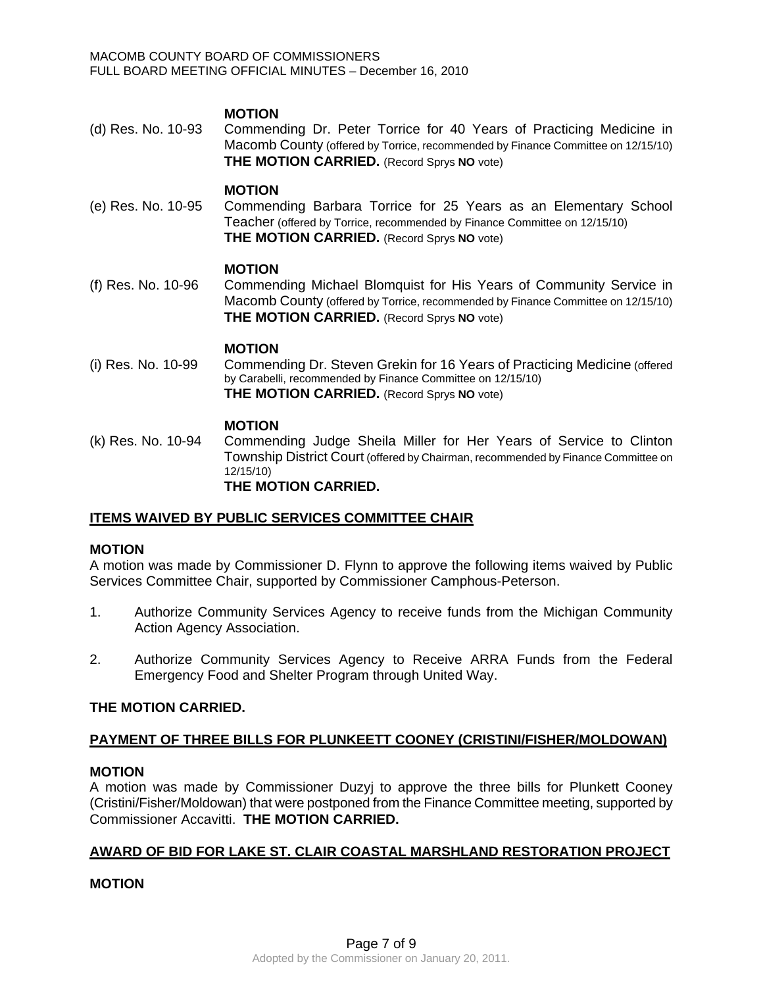# **MOTION**

(d) Res. No. 10-93 Commending Dr. Peter Torrice for 40 Years of Practicing Medicine in Macomb County (offered by Torrice, recommended by Finance Committee on 12/15/10) **THE MOTION CARRIED.** (Record Sprys **NO** vote)

#### **MOTION**

(e) Res. No. 10-95 Commending Barbara Torrice for 25 Years as an Elementary School Teacher (offered by Torrice, recommended by Finance Committee on 12/15/10) **THE MOTION CARRIED.** (Record Sprys **NO** vote)

#### **MOTION**

(f) Res. No. 10-96 Commending Michael Blomquist for His Years of Community Service in Macomb County (offered by Torrice, recommended by Finance Committee on 12/15/10) **THE MOTION CARRIED.** (Record Sprys **NO** vote)

#### **MOTION**

(i) Res. No. 10-99 Commending Dr. Steven Grekin for 16 Years of Practicing Medicine (offered by Carabelli, recommended by Finance Committee on 12/15/10) **THE MOTION CARRIED.** (Record Sprys **NO** vote)

#### **MOTION**

(k) Res. No. 10-94 Commending Judge Sheila Miller for Her Years of Service to Clinton Township District Court (offered by Chairman, recommended by Finance Committee on 12/15/10) **THE MOTION CARRIED.** 

# **ITEMS WAIVED BY PUBLIC SERVICES COMMITTEE CHAIR**

# **MOTION**

A motion was made by Commissioner D. Flynn to approve the following items waived by Public Services Committee Chair, supported by Commissioner Camphous-Peterson.

- 1. Authorize Community Services Agency to receive funds from the Michigan Community Action Agency Association.
- 2. Authorize Community Services Agency to Receive ARRA Funds from the Federal Emergency Food and Shelter Program through United Way.

# **THE MOTION CARRIED.**

# **PAYMENT OF THREE BILLS FOR PLUNKEETT COONEY (CRISTINI/FISHER/MOLDOWAN)**

# **MOTION**

A motion was made by Commissioner Duzyj to approve the three bills for Plunkett Cooney (Cristini/Fisher/Moldowan) that were postponed from the Finance Committee meeting, supported by Commissioner Accavitti. **THE MOTION CARRIED.** 

# **AWARD OF BID FOR LAKE ST. CLAIR COASTAL MARSHLAND RESTORATION PROJECT**

# **MOTION**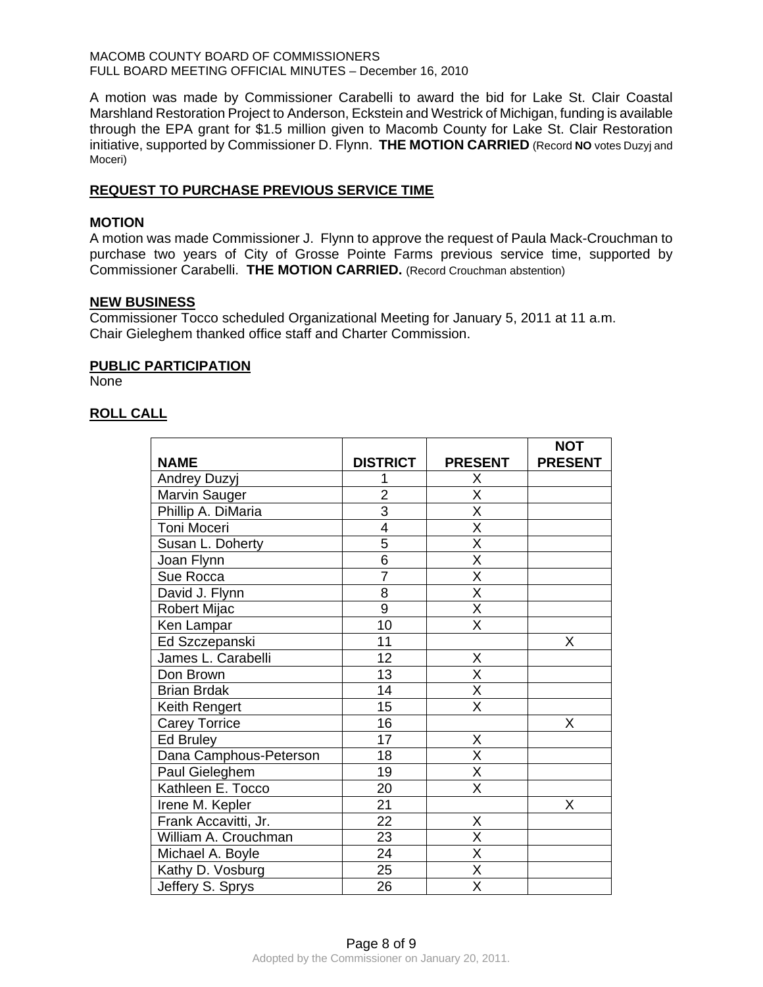A motion was made by Commissioner Carabelli to award the bid for Lake St. Clair Coastal Marshland Restoration Project to Anderson, Eckstein and Westrick of Michigan, funding is available through the EPA grant for \$1.5 million given to Macomb County for Lake St. Clair Restoration initiative, supported by Commissioner D. Flynn. **THE MOTION CARRIED** (Record **NO** votes Duzyj and Moceri)

# **REQUEST TO PURCHASE PREVIOUS SERVICE TIME**

### **MOTION**

A motion was made Commissioner J. Flynn to approve the request of Paula Mack-Crouchman to purchase two years of City of Grosse Pointe Farms previous service time, supported by Commissioner Carabelli. **THE MOTION CARRIED.** (Record Crouchman abstention)

#### **NEW BUSINESS**

Commissioner Tocco scheduled Organizational Meeting for January 5, 2011 at 11 a.m. Chair Gieleghem thanked office staff and Charter Commission.

# **PUBLIC PARTICIPATION**

None

# **ROLL CALL**

|                        |                 |                         | <b>NOT</b>     |
|------------------------|-----------------|-------------------------|----------------|
| <b>NAME</b>            | <b>DISTRICT</b> | <b>PRESENT</b>          | <b>PRESENT</b> |
| Andrey Duzyj           | 1               | Χ                       |                |
| Marvin Sauger          | $\overline{2}$  | $\overline{\mathsf{x}}$ |                |
| Phillip A. DiMaria     | 3               | $\overline{X}$          |                |
| Toni Moceri            | $\overline{4}$  | $\overline{\mathsf{x}}$ |                |
| Susan L. Doherty       | 5               | $\overline{\mathsf{x}}$ |                |
| Joan Flynn             | $\overline{6}$  | X                       |                |
| Sue Rocca              | $\overline{7}$  | $\overline{\mathsf{x}}$ |                |
| David J. Flynn         | 8               | $\overline{\mathsf{x}}$ |                |
| <b>Robert Mijac</b>    | 9               | $\overline{\mathsf{x}}$ |                |
| Ken Lampar             | 10              | $\overline{\sf x}$      |                |
| Ed Szczepanski         | 11              |                         | X              |
| James L. Carabelli     | 12              | Χ                       |                |
| Don Brown              | 13              | $\overline{\mathsf{x}}$ |                |
| <b>Brian Brdak</b>     | 14              | $\overline{\mathsf{x}}$ |                |
| Keith Rengert          | 15              | X                       |                |
| <b>Carey Torrice</b>   | 16              |                         | Χ              |
| Ed Bruley              | 17              | X                       |                |
| Dana Camphous-Peterson | 18              | $\overline{\mathsf{x}}$ |                |
| Paul Gieleghem         | 19              | $\overline{\mathsf{X}}$ |                |
| Kathleen E. Tocco      | 20              | $\overline{\mathsf{X}}$ |                |
| Irene M. Kepler        | 21              |                         | X              |
| Frank Accavitti, Jr.   | $\overline{22}$ | Χ                       |                |
| William A. Crouchman   | 23              | X                       |                |
| Michael A. Boyle       | 24              | $\overline{X}$          |                |
| Kathy D. Vosburg       | 25              | $\overline{\mathsf{x}}$ |                |
| Jeffery S. Sprys       | 26              | $\overline{\mathsf{x}}$ |                |